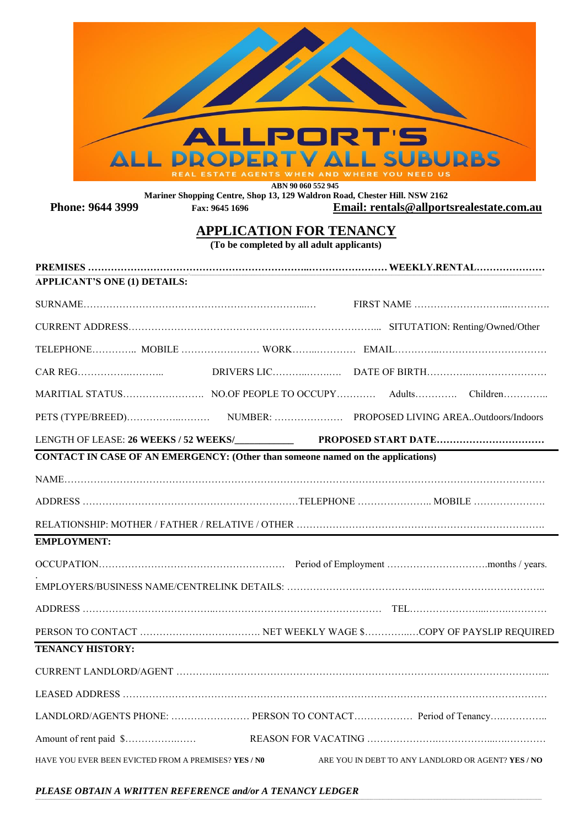

 **ABN 90 060 552 945**

**Mariner Shopping Centre, Shop 13, 129 Waldron Road, Chester Hill. NSW 2162 Phone: 9644 3999 Fax: 9645 1696 Email: rentals@allportsrealestate.com.au**

## **APPLICATION FOR TENANCY**

**(To be completed by all adult applicants)**

| <b>APPLICANT'S ONE (1) DETAILS:</b>                                                    |  |                                                             |
|----------------------------------------------------------------------------------------|--|-------------------------------------------------------------|
|                                                                                        |  |                                                             |
|                                                                                        |  |                                                             |
|                                                                                        |  |                                                             |
|                                                                                        |  |                                                             |
|                                                                                        |  |                                                             |
|                                                                                        |  |                                                             |
|                                                                                        |  |                                                             |
| <b>CONTACT IN CASE OF AN EMERGENCY: (Other than someone named on the applications)</b> |  |                                                             |
|                                                                                        |  |                                                             |
|                                                                                        |  |                                                             |
|                                                                                        |  |                                                             |
| <b>EMPLOYMENT:</b>                                                                     |  |                                                             |
|                                                                                        |  |                                                             |
|                                                                                        |  |                                                             |
|                                                                                        |  |                                                             |
|                                                                                        |  |                                                             |
| <b>TENANCY HISTORY:</b>                                                                |  |                                                             |
|                                                                                        |  |                                                             |
|                                                                                        |  |                                                             |
|                                                                                        |  | LANDLORD/AGENTS PHONE:  PERSON TO CONTACT Period of Tenancy |
|                                                                                        |  |                                                             |
| HAVE YOU EVER BEEN EVICTED FROM A PREMISES? YES / NO                                   |  | ARE YOU IN DEBT TO ANY LANDLORD OR AGENT? YES / NO          |
|                                                                                        |  |                                                             |

**\_\_\_\_\_\_\_\_\_\_\_\_\_\_\_\_\_\_\_\_\_\_\_\_\_\_\_\_\_\_\_\_\_\_\_\_\_\_\_\_\_\_\_\_\_\_\_\_\_\_\_\_\_\_\_\_\_\_\_\_\_\_\_\_\_\_\_\_\_\_\_\_\_\_\_\_\_\_\_\_\_\_\_\_\_\_\_\_\_\_\_\_\_\_\_\_\_\_\_\_\_\_\_\_-\_\_\_\_\_\_\_\_\_\_\_\_\_\_\_\_\_\_\_\_\_\_\_\_\_\_\_\_\_\_\_\_\_\_\_\_\_\_\_\_\_\_\_\_\_\_\_\_\_\_\_\_\_\_\_\_\_\_\_\_\_\_\_\_\_\_\_\_\_\_\_\_\_\_\_\_\_\_\_\_\_\_\_\_\_\_\_\_\_\_\_\_\_\_\_\_\_\_\_\_\_\_\_\_\_\_\_\_\_\_\_\_\_\_\_\_\_\_\_\_\_\_\_\_\_\_\_\_\_\_\_\_\_\_\_\_\_\_\_\_\_\_\_\_\_\_\_\_\_\_\_\_\_\_\_\_\_\_\_\_\_\_\_\_\_\_\_\_\_\_\_\_\_\_\_\_\_\_\_\_\_\_\_\_\_\_\_\_\_\_\_\_\_\_\_\_\_\_\_\_\_\_\_\_\_\_\_\_\_\_\_\_\_\_\_\_\_\_\_\_\_\_\_\_\_\_\_\_\_\_\_\_\_\_\_\_\_\_\_**

*PLEASE OBTAIN A WRITTEN REFERENCE and/or A TENANCY LEDGER*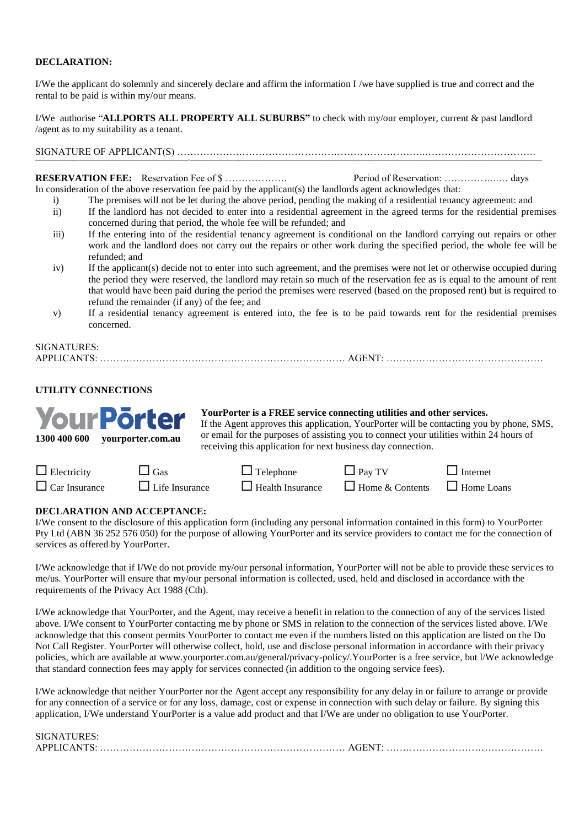#### **DECLARATION:**

I/We the applicant do solemnly and sincerely declare and affirm the information I /we have supplied is true and correct and the rental to be paid is within my/our means.

I/We authorise "**ALLPORTS ALL PROPERTY ALL SUBURBS"** to check with my/our employer, current & past landlord /agent as to my suitability as a tenant.

### SIGNATURE OF APPLICANT(S) ………………………………………………………………….…………………………….

**RESERVATION FEE:** Reservation Fee of \$ ………………. Period of Reservation: ……………..… days

- In consideration of the above reservation fee paid by the applicant(s) the landlords agent acknowledges that:
	- i) The premises will not be let during the above period, pending the making of a residential tenancy agreement: and
	- ii) If the landlord has not decided to enter into a residential agreement in the agreed terms for the residential premises concerned during that period, the whole fee will be refunded; and
	- iii) If the entering into of the residential tenancy agreement is conditional on the landlord carrying out repairs or other work and the landlord does not carry out the repairs or other work during the specified period, the whole fee will be refunded; and
	- iv) If the applicant(s) decide not to enter into such agreement, and the premises were not let or otherwise occupied during the period they were reserved, the landlord may retain so much of the reservation fee as is equal to the amount of rent that would have been paid during the period the premises were reserved (based on the proposed rent) but is required to refund the remainder (if any) of the fee; and
	- v) If a residential tenancy agreement is entered into, the fee is to be paid towards rent for the residential premises concerned.

**\_\_\_\_\_\_\_\_\_\_\_\_\_\_\_\_\_\_\_\_\_\_\_\_\_\_\_\_\_\_\_\_\_\_\_\_\_\_\_\_\_\_\_\_\_\_\_\_\_\_\_\_\_\_\_\_\_\_\_\_\_\_\_\_\_\_\_\_\_\_\_\_\_\_\_\_\_\_\_\_\_\_\_\_\_\_\_\_\_\_\_\_\_\_\_\_\_\_\_\_\_\_\_\_-\_\_\_\_\_\_\_\_\_\_\_\_\_\_\_\_\_\_\_\_\_\_\_\_\_\_\_\_\_\_\_\_\_\_\_\_\_\_\_\_\_\_\_\_\_\_\_\_\_\_\_\_\_\_\_\_\_\_\_\_\_\_\_\_\_\_\_\_\_\_\_\_\_\_\_\_\_\_\_\_\_\_\_\_\_\_\_\_\_\_\_\_\_\_\_\_\_\_\_\_\_\_\_\_\_\_\_\_\_\_\_\_\_\_\_\_\_\_\_\_\_\_\_\_\_\_\_\_\_\_\_\_\_\_\_\_\_\_\_\_\_\_\_\_\_\_\_\_\_\_\_\_\_\_\_\_\_\_\_\_\_\_\_\_\_\_\_\_\_\_\_\_\_\_\_\_\_\_\_\_\_\_\_\_\_\_\_\_\_\_\_\_\_\_\_\_\_\_\_\_\_\_\_\_\_\_\_\_\_\_\_\_\_\_\_\_\_\_\_\_\_\_\_\_\_\_\_\_\_\_\_\_\_\_\_\_\_\_\_**

### SIGNATURES: APPLICANTS: ………………………………………………………………… AGENT: …………………………………………

### **UTILITY CONNECTIONS**



**YourPorter is a FREE service connecting utilities and other services.**

If the Agent approves this application, YourPorter will be contacting you by phone, SMS, or email for the purposes of assisting you to connect your utilities within 24 hours of receiving this application for next business day connection.

| $\Box$ Electricity   | $\Box$ Gas            | $\Box$ Telephone        | $\Box$ Pay TV                            | $\Box$ Internet |
|----------------------|-----------------------|-------------------------|------------------------------------------|-----------------|
| $\Box$ Car Insurance | $\Box$ Life Insurance | $\Box$ Health Insurance | $\Box$ Home & Contents $\Box$ Home Loans |                 |

#### **DECLARATION AND ACCEPTANCE:**

I/We consent to the disclosure of this application form (including any personal information contained in this form) to YourPorter Pty Ltd (ABN 36 252 576 050) for the purpose of allowing YourPorter and its service providers to contact me for the connection of services as offered by YourPorter.

I/We acknowledge that if I/We do not provide my/our personal information, YourPorter will not be able to provide these services to me/us. YourPorter will ensure that my/our personal information is collected, used, held and disclosed in accordance with the requirements of the Privacy Act 1988 (Cth).

I/We acknowledge that YourPorter, and the Agent, may receive a benefit in relation to the connection of any of the services listed above. I/We consent to YourPorter contacting me by phone or SMS in relation to the connection of the services listed above. I/We acknowledge that this consent permits YourPorter to contact me even if the numbers listed on this application are listed on the Do Not Call Register. YourPorter will otherwise collect, hold, use and disclose personal information in accordance with their privacy policies, which are available at www.yourporter.com.au/general/privacy-policy/.YourPorter is a free service, but l/We acknowledge that standard connection fees may apply for services connected (in addition to the ongoing service fees).

I/We acknowledge that neither YourPorter nor the Agent accept any responsibility for any delay in or failure to arrange or provide for any connection of a service or for any loss, damage, cost or expense in connection with such delay or failure. By signing this application, I/We understand YourPorter is a value add product and that I/We are under no obligation to use YourPorter.

| <b>SIGNATURES:</b> |                   |
|--------------------|-------------------|
| <b>APPLICANTS:</b> | AGEN <sup>-</sup> |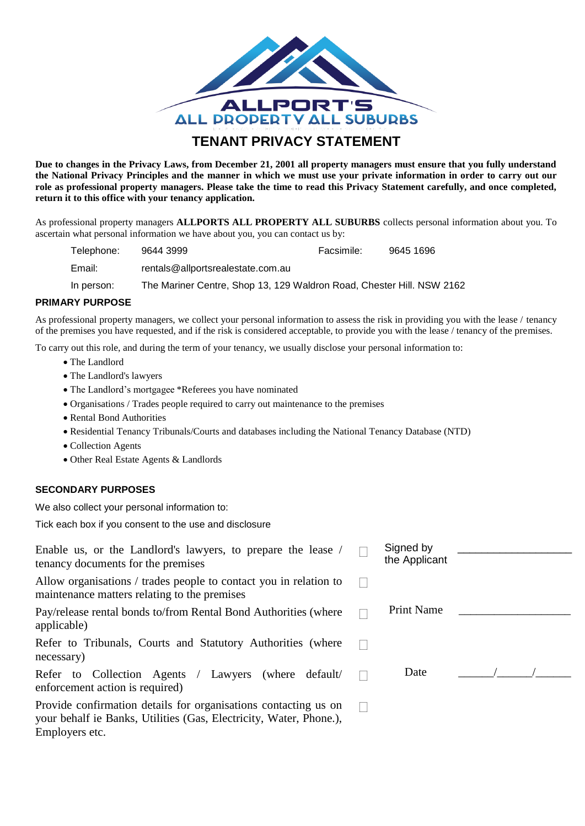

## **TENANT PRIVACY STATEMENT**

**Due to changes in the Privacy Laws, from December 21, 2001 all property managers must ensure that you fully understand the National Privacy Principles and the manner in which we must use your private information in order to carry out our role as professional property managers. Please take the time to read this Privacy Statement carefully, and once completed, return it to this office with your tenancy application.**

As professional property managers **ALLPORTS ALL PROPERTY ALL SUBURBS** collects personal information about you. To ascertain what personal information we have about you, you can contact us by:

| Telephone: | 9644 3999                                                             | Facsimile: | 9645 1696 |
|------------|-----------------------------------------------------------------------|------------|-----------|
| Email:     | rentals@allportsrealestate.com.au                                     |            |           |
| In person: | The Mariner Centre, Shop 13, 129 Waldron Road, Chester Hill. NSW 2162 |            |           |

### **PRIMARY PURPOSE**

As professional property managers, we collect your personal information to assess the risk in providing you with the lease / tenancy of the premises you have requested, and if the risk is considered acceptable, to provide you with the lease / tenancy of the premises.

To carry out this role, and during the term of your tenancy, we usually disclose your personal information to:

- The Landlord
- The Landlord's lawyers
- The Landlord's mortgagee \*Referees you have nominated
- Organisations / Trades people required to carry out maintenance to the premises
- Rental Bond Authorities
- Residential Tenancy Tribunals/Courts and databases including the National Tenancy Database (NTD)
- Collection Agents
- Other Real Estate Agents & Landlords

### **SECONDARY PURPOSES**

We also collect your personal information to:

Tick each box if you consent to the use and disclosure

| Enable us, or the Landlord's lawyers, to prepare the lease /                                                                                            | Signed by         |  |  |
|---------------------------------------------------------------------------------------------------------------------------------------------------------|-------------------|--|--|
| tenancy documents for the premises                                                                                                                      | the Applicant     |  |  |
| Allow organisations / trades people to contact you in relation to<br>maintenance matters relating to the premises                                       |                   |  |  |
| Pay/release rental bonds to/from Rental Bond Authorities (where<br>applicable)                                                                          | <b>Print Name</b> |  |  |
| Refer to Tribunals, Courts and Statutory Authorities (where<br>necessary)                                                                               |                   |  |  |
| Refer to Collection Agents / Lawyers (where default)<br>enforcement action is required)                                                                 | Date              |  |  |
| Provide confirmation details for organisations contacting us on<br>your behalf ie Banks, Utilities (Gas, Electricity, Water, Phone.),<br>Employers etc. |                   |  |  |